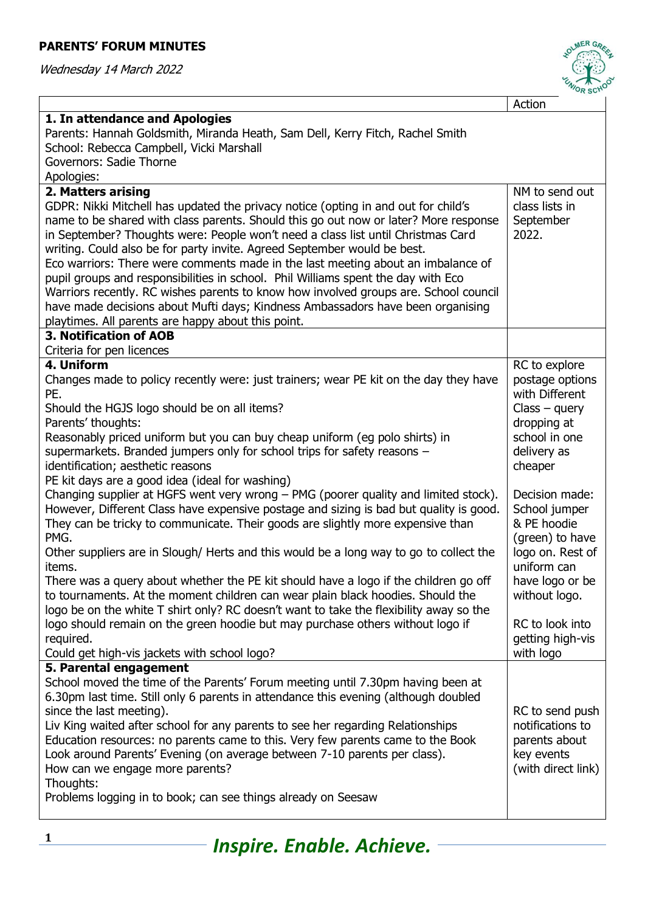## **PARENTS' FORUM MINUTES**

Wednesday 14 March 2022



|                                                                                        | OR SUI             |
|----------------------------------------------------------------------------------------|--------------------|
|                                                                                        | Action             |
| 1. In attendance and Apologies                                                         |                    |
| Parents: Hannah Goldsmith, Miranda Heath, Sam Dell, Kerry Fitch, Rachel Smith          |                    |
| School: Rebecca Campbell, Vicki Marshall                                               |                    |
| Governors: Sadie Thorne                                                                |                    |
| Apologies:                                                                             |                    |
| 2. Matters arising                                                                     | NM to send out     |
| GDPR: Nikki Mitchell has updated the privacy notice (opting in and out for child's     | class lists in     |
| name to be shared with class parents. Should this go out now or later? More response   | September          |
| in September? Thoughts were: People won't need a class list until Christmas Card       | 2022.              |
| writing. Could also be for party invite. Agreed September would be best.               |                    |
| Eco warriors: There were comments made in the last meeting about an imbalance of       |                    |
| pupil groups and responsibilities in school. Phil Williams spent the day with Eco      |                    |
| Warriors recently. RC wishes parents to know how involved groups are. School council   |                    |
| have made decisions about Mufti days; Kindness Ambassadors have been organising        |                    |
| playtimes. All parents are happy about this point.                                     |                    |
| <b>3. Notification of AOB</b>                                                          |                    |
| Criteria for pen licences                                                              |                    |
| 4. Uniform                                                                             | RC to explore      |
| Changes made to policy recently were: just trainers; wear PE kit on the day they have  | postage options    |
| PE.                                                                                    | with Different     |
| Should the HGJS logo should be on all items?                                           | $Class - query$    |
| Parents' thoughts:                                                                     | dropping at        |
| Reasonably priced uniform but you can buy cheap uniform (eg polo shirts) in            | school in one      |
| supermarkets. Branded jumpers only for school trips for safety reasons -               | delivery as        |
| identification; aesthetic reasons                                                      | cheaper            |
| PE kit days are a good idea (ideal for washing)                                        |                    |
| Changing supplier at HGFS went very wrong - PMG (poorer quality and limited stock).    | Decision made:     |
| However, Different Class have expensive postage and sizing is bad but quality is good. | School jumper      |
| They can be tricky to communicate. Their goods are slightly more expensive than        | & PE hoodie        |
| PMG.                                                                                   | (green) to have    |
| Other suppliers are in Slough/ Herts and this would be a long way to go to collect the | logo on. Rest of   |
| items.                                                                                 | uniform can        |
| There was a query about whether the PE kit should have a logo if the children go off   | have logo or be    |
| to tournaments. At the moment children can wear plain black hoodies. Should the        | without logo.      |
| logo be on the white T shirt only? RC doesn't want to take the flexibility away so the |                    |
| logo should remain on the green hoodie but may purchase others without logo if         | RC to look into    |
| required.                                                                              | getting high-vis   |
| Could get high-vis jackets with school logo?                                           | with logo          |
| 5. Parental engagement                                                                 |                    |
| School moved the time of the Parents' Forum meeting until 7.30pm having been at        |                    |
| 6.30pm last time. Still only 6 parents in attendance this evening (although doubled    |                    |
| since the last meeting).                                                               | RC to send push    |
| Liv King waited after school for any parents to see her regarding Relationships        | notifications to   |
| Education resources: no parents came to this. Very few parents came to the Book        | parents about      |
| Look around Parents' Evening (on average between 7-10 parents per class).              | key events         |
| How can we engage more parents?                                                        | (with direct link) |
| Thoughts:                                                                              |                    |
| Problems logging in to book; can see things already on Seesaw                          |                    |
|                                                                                        |                    |